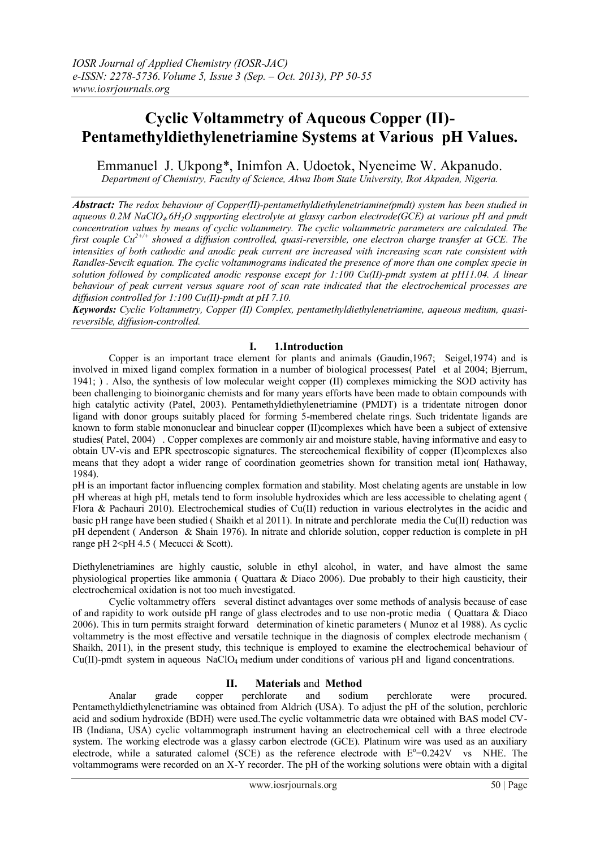# **Cyclic Voltammetry of Aqueous Copper (II)- Pentamethyldiethylenetriamine Systems at Various pH Values.**

Emmanuel J. Ukpong\*, Inimfon A. Udoetok, Nyeneime W. Akpanudo. *Department of Chemistry, Faculty of Science, Akwa Ibom State University, Ikot Akpaden, Nigeria.*

*Abstract: The redox behaviour of Copper(II)-pentamethyldiethylenetriamine(pmdt) system has been studied in aqueous 0.2M NaClO4.6H2O supporting electrolyte at glassy carbon electrode(GCE) at various pH and pmdt concentration values by means of cyclic voltammetry. The cyclic voltammetric parameters are calculated. The first couple Cu2+/+ showed a diffusion controlled, quasi-reversible, one electron charge transfer at GCE. The intensities of both cathodic and anodic peak current are increased with increasing scan rate consistent with Randles-Sevcik equation. The cyclic voltammograms indicated the presence of more than one complex specie in solution followed by complicated anodic response except for 1:100 Cu(II)-pmdt system at pH11.04. A linear behaviour of peak current versus square root of scan rate indicated that the electrochemical processes are diffusion controlled for 1:100 Cu(II)-pmdt at pH 7.10.*

*Keywords: Cyclic Voltammetry, Copper (II) Complex, pentamethyldiethylenetriamine, aqueous medium, quasireversible, diffusion-controlled.*

## **I. 1.Introduction**

Copper is an important trace element for plants and animals (Gaudin,1967; Seigel,1974) and is involved in mixed ligand complex formation in a number of biological processes( Patel et al 2004; Bjerrum, 1941; ) . Also, the synthesis of low molecular weight copper (II) complexes mimicking the SOD activity has been challenging to bioinorganic chemists and for many years efforts have been made to obtain compounds with high catalytic activity (Patel, 2003). Pentamethyldiethylenetriamine (PMDT) is a tridentate nitrogen donor ligand with donor groups suitably placed for forming 5-membered chelate rings. Such tridentate ligands are known to form stable mononuclear and binuclear copper (II)complexes which have been a subject of extensive studies( Patel, 2004) . Copper complexes are commonly air and moisture stable, having informative and easy to obtain UV-vis and EPR spectroscopic signatures. The stereochemical flexibility of copper (II)complexes also means that they adopt a wider range of coordination geometries shown for transition metal ion( Hathaway, 1984).

pH is an important factor influencing complex formation and stability. Most chelating agents are unstable in low pH whereas at high pH, metals tend to form insoluble hydroxides which are less accessible to chelating agent ( Flora & Pachauri 2010). Electrochemical studies of Cu(II) reduction in various electrolytes in the acidic and basic pH range have been studied ( Shaikh et al 2011). In nitrate and perchlorate media the Cu(II) reduction was pH dependent ( Anderson & Shain 1976). In nitrate and chloride solution, copper reduction is complete in pH range pH 2<pH 4.5 (Mecucci & Scott).

Diethylenetriamines are highly caustic, soluble in ethyl alcohol, in water, and have almost the same physiological properties like ammonia ( Quattara & Diaco 2006). Due probably to their high causticity, their electrochemical oxidation is not too much investigated.

Cyclic voltammetry offers several distinct advantages over some methods of analysis because of ease of and rapidity to work outside pH range of glass electrodes and to use non-protic media ( Quattara & Diaco 2006). This in turn permits straight forward determination of kinetic parameters ( Munoz et al 1988). As cyclic voltammetry is the most effective and versatile technique in the diagnosis of complex electrode mechanism ( Shaikh, 2011), in the present study, this technique is employed to examine the electrochemical behaviour of Cu(II)-pmdt system in aqueous NaClO<sub>4</sub> medium under conditions of various pH and ligand concentrations.

## **II. Materials** and **Method**

Analar grade copper perchlorate and sodium perchlorate were procured. Pentamethyldiethylenetriamine was obtained from Aldrich (USA). To adjust the pH of the solution, perchloric acid and sodium hydroxide (BDH) were used.The cyclic voltammetric data wre obtained with BAS model CV-IB (Indiana, USA) cyclic voltammograph instrument having an electrochemical cell with a three electrode system. The working electrode was a glassy carbon electrode (GCE). Platinum wire was used as an auxiliary electrode, while a saturated calomel (SCE) as the reference electrode with  $E^{\circ}=0.242V$  vs NHE. The voltammograms were recorded on an X-Y recorder. The pH of the working solutions were obtain with a digital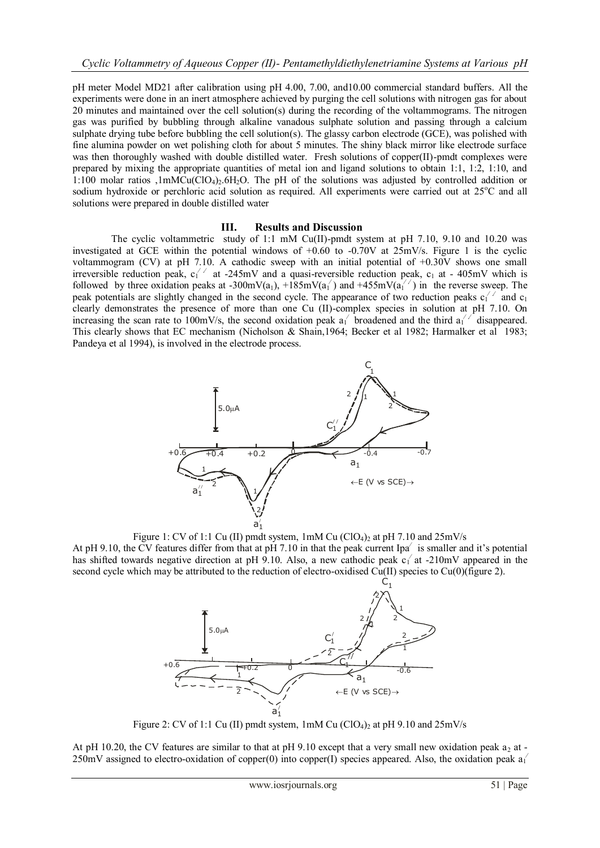pH meter Model MD21 after calibration using pH 4.00, 7.00, and10.00 commercial standard buffers. All the experiments were done in an inert atmosphere achieved by purging the cell solutions with nitrogen gas for about 20 minutes and maintained over the cell solution(s) during the recording of the voltammograms. The nitrogen gas was purified by bubbling through alkaline vanadous sulphate solution and passing through a calcium sulphate drying tube before bubbling the cell solution(s). The glassy carbon electrode (GCE), was polished with fine alumina powder on wet polishing cloth for about 5 minutes. The shiny black mirror like electrode surface was then thoroughly washed with double distilled water. Fresh solutions of copper(II)-pmdt complexes were prepared by mixing the appropriate quantities of metal ion and ligand solutions to obtain 1:1, 1:2, 1:10, and 1:100 molar ratios ,1mMCu(ClO4)2.6H2O. The pH of the solutions was adjusted by controlled addition or sodium hydroxide or perchloric acid solution as required. All experiments were carried out at 25°C and all solutions were prepared in double distilled water

### **III. Results and Discussion**

The cyclic voltammetric study of 1:1 mM Cu(II)-pmdt system at pH 7.10, 9.10 and 10.20 was investigated at GCE within the potential windows of  $+0.60$  to  $-0.70V$  at  $25mV/s$ . Figure 1 is the cyclic voltammogram (CV) at pH 7.10. A cathodic sweep with an initial potential of +0.30V shows one small irreversible reduction peak,  $c_1^2$  at -245mV and a quasi-reversible reduction peak,  $c_1$  at - 405mV which is followed by three oxidation peaks at -300mV(a<sub>1</sub>), +185mV(a<sub>1</sub>') and +455mV(a<sub>1</sub>'') in the reverse sweep. The peak potentials are slightly changed in the second cycle. The appearance of two reduction peaks  $c_1^2$  and  $c_1$ clearly demonstrates the presence of more than one Cu (II)-complex species in solution at pH 7.10. On increasing the scan rate to 100mV/s, the second oxidation peak  $a_1$  broadened and the third  $a_1'$  disappeared. This clearly shows that EC mechanism (Nicholson & Shain,1964; Becker et al 1982; Harmalker et al 1983; Pandeya et al 1994), is involved in the electrode process.



Figure 1: CV of 1:1 Cu (II) pmdt system,  $1 \text{ mM Cu (ClO}_4)$  at pH 7.10 and  $25 \text{ mV/s}$ 

At pH 9.10, the CV features differ from that at pH 7.10 in that the peak current Ipa⁄is smaller and it's potential has shifted towards negative direction at pH 9.10. Also, a new cathodic peak  $c_1$  at -210mV appeared in the second cycle which may be attributed to the reduction of electro-oxidised Cu(II) species to Cu(0)(figure 2).



Figure 2: CV of 1:1 Cu (II) pmdt system,  $1 \text{mM Cu (ClO}_4)_2$  at pH 9.10 and  $25 \text{mV/s}$ 

At pH 10.20, the CV features are similar to that at pH 9.10 except that a very small new oxidation peak  $a_2$  at -250mV assigned to electro-oxidation of copper(0) into copper(I) species appeared. Also, the oxidation peak  $a_1$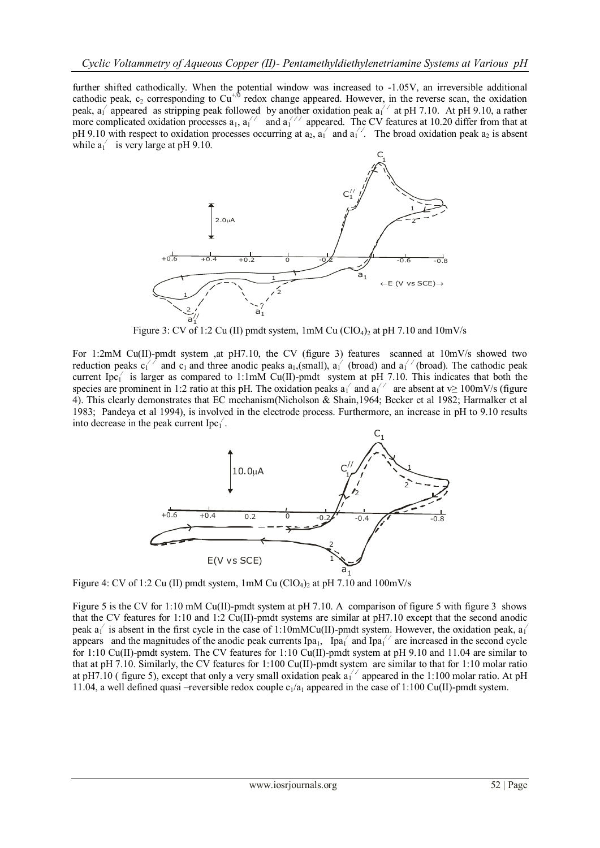further shifted cathodically. When the potential window was increased to -1.05V, an irreversible additional cathodic peak, c<sub>2</sub> corresponding to  $Cu^{+/0}$  redox change appeared. However, in the reverse scan, the oxidation peak, a<sub>1</sub> appeared as stripping peak followed by another oxidation peak  $a_1^{1/7}$  at pH 7.10. At pH 9.10, a rather more complicated oxidation processes  $a_1$ ,  $a_1'$  and  $a_1'$  appeared. The CV features at 10.20 differ from that at pH 9.10 with respect to oxidation processes occurring at  $a_2$ ,  $a_1$  and  $a_1$ . The broad oxidation peak  $a_2$  is absent while  $a_1'$  is very large at pH 9.10.



Figure 3: CV of 1:2 Cu (II) pmdt system,  $1 \text{mM Cu (ClO}_4)_2$  at pH 7.10 and  $10 \text{mV/s}$ 

For 1:2mM Cu(II)-pmdt system ,at pH7.10, the CV (figure 3) features scanned at  $10 \text{mV/s}$  showed two reduction peaks  $c_1^2$  and  $c_1$  and three anodic peaks  $a_1$ , (small),  $a_1^2$  (broad) and  $a_1^2$  (broad). The cathodic peak current Ipc<sub>1</sub><sup> $\prime$ </sup> is larger as compared to 1:1mM Cu(II)-pmdt system at pH 7.10. This indicates that both the species are prominent in 1:2 ratio at this pH. The oxidation peaks  $a_1$  and  $a_1$  are absent at v≥ 100mV/s (figure 4). This clearly demonstrates that EC mechanism(Nicholson & Shain,1964; Becker et al 1982; Harmalker et al 1983; Pandeya et al 1994), is involved in the electrode process. Furthermore, an increase in pH to 9.10 results into decrease in the peak current  $\text{Ipc}_1'$ .



Figure 4: CV of 1:2 Cu (II) pmdt system,  $1 \text{m}$ M Cu (ClO<sub>4</sub>)<sub>2</sub> at pH 7.10 and 100mV/s

Figure 5 is the CV for 1:10 mM Cu(II)-pmdt system at pH 7.10. A comparison of figure 5 with figure 3 shows that the CV features for 1:10 and 1:2 Cu(II)-pmdt systems are similar at pH7.10 except that the second anodic peak  $a_1$ <sup> $\prime$ </sup> is absent in the first cycle in the case of 1:10mMCu(II)-pmdt system. However, the oxidation peak,  $a_1$ <sup> $\prime$ </sup> appears and the magnitudes of the anodic peak currents Ipa<sub>1</sub>, Ipa<sub>1</sub> and Ipa<sub>1</sub><sup>//</sup> are increased in the second cycle for 1:10 Cu(II)-pmdt system. The CV features for 1:10 Cu(II)-pmdt system at pH 9.10 and 11.04 are similar to that at pH 7.10. Similarly, the CV features for 1:100 Cu(II)-pmdt system are similar to that for 1:10 molar ratio at pH7.10 ( figure 5), except that only a very small oxidation peak  $a_1^{1/7}$  appeared in the 1:100 molar ratio. At pH 11.04, a well defined quasi –reversible redox couple  $c_1/a_1$  appeared in the case of 1:100 Cu(II)-pmdt system.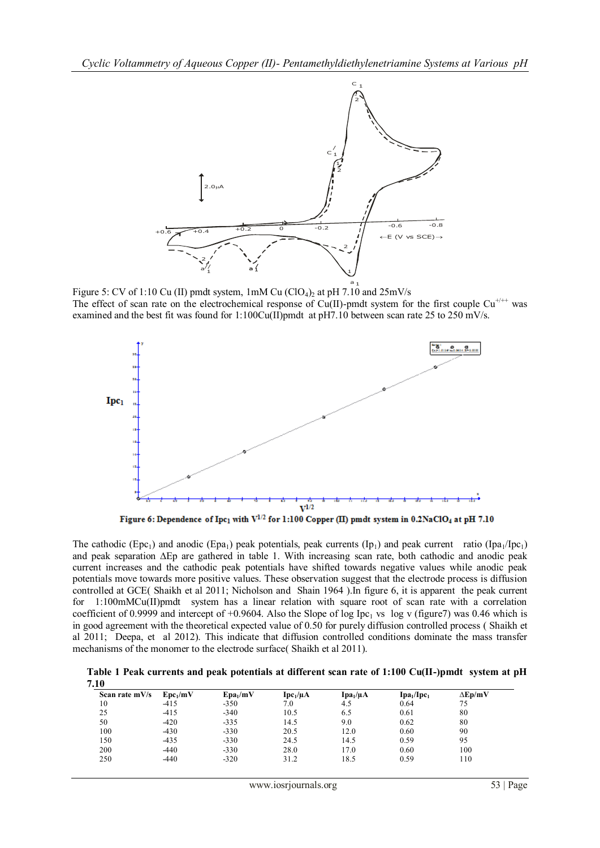

Figure 5: CV of 1:10 Cu (II) pmdt system, 1mM Cu (ClO<sub>4</sub>)<sub>2</sub> at pH 7.10 and 25mV/s The effect of scan rate on the electrochemical response of Cu(II)-pmdt system for the first couple Cu<sup>+/++</sup> was examined and the best fit was found for 1:100Cu(II)pmdt at pH7.10 between scan rate 25 to 250 mV/s.



The cathodic (Epc<sub>1</sub>) and anodic (Epa<sub>1</sub>) peak potentials, peak currents (Ip<sub>1</sub>) and peak current ratio (Ipa<sub>1</sub>/Ipc<sub>1</sub>) and peak separation ∆Ep are gathered in table 1. With increasing scan rate, both cathodic and anodic peak current increases and the cathodic peak potentials have shifted towards negative values while anodic peak potentials move towards more positive values. These observation suggest that the electrode process is diffusion controlled at GCE( Shaikh et al 2011; Nicholson and Shain 1964 ).In figure 6, it is apparent the peak current for 1:100mMCu(II)pmdt system has a linear relation with square root of scan rate with a correlation coefficient of 0.9999 and intercept of +0.9604. Also the Slope of log Ipc<sub>1</sub> vs log v (figure7) was 0.46 which is in good agreement with the theoretical expected value of 0.50 for purely diffusion controlled process ( Shaikh et al 2011; Deepa, et al 2012). This indicate that diffusion controlled conditions dominate the mass transfer mechanisms of the monomer to the electrode surface( Shaikh et al 2011).

**Table 1 Peak currents and peak potentials at different scan rate of 1:100 Cu(II-)pmdt system at pH 7.10**

| Scan rate $mV/s$ | $Epc_1/mV$ | $Epa_1/mV$ | $Ipc_1/\mu A$ | $Ipa_1/uA$ | Ipa <sub>1</sub> /Ipc <sub>1</sub> | $\Delta$ Ep/mV |
|------------------|------------|------------|---------------|------------|------------------------------------|----------------|
| 10               | $-415$     | $-350$     | 7.0           | 4.5        | 0.64                               | 75             |
| 25               | $-415$     | $-340$     | 10.5          | 6.5        | 0.61                               | 80             |
| 50               | $-420$     | $-335$     | 14.5          | 9.0        | 0.62                               | 80             |
| 100              | $-430$     | $-330$     | 20.5          | 12.0       | 0.60                               | 90             |
| 150              | $-435$     | $-330$     | 24.5          | 14.5       | 0.59                               | 95             |
| 200              | $-440$     | $-330$     | 28.0          | 17.0       | 0.60                               | 100            |
| 250              | $-440$     | $-320$     | 31.2          | 18.5       | 0.59                               | 110            |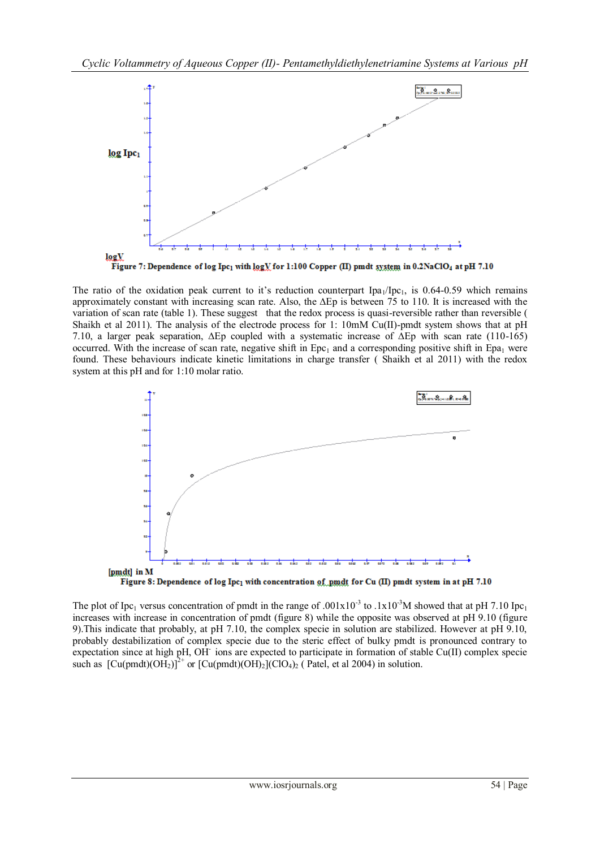

The ratio of the oxidation peak current to it's reduction counterpart  $\text{Ipa}_1/\text{Ipc}_1$ , is 0.64-0.59 which remains approximately constant with increasing scan rate. Also, the ∆Ep is between 75 to 110. It is increased with the variation of scan rate (table 1). These suggest that the redox process is quasi-reversible rather than reversible ( Shaikh et al 2011). The analysis of the electrode process for 1: 10mM Cu(II)-pmdt system shows that at pH 7.10, a larger peak separation, ∆Ep coupled with a systematic increase of ∆Ep with scan rate (110-165) occurred. With the increase of scan rate, negative shift in  $Epc<sub>1</sub>$  and a corresponding positive shift in Epa<sub>1</sub> were found. These behaviours indicate kinetic limitations in charge transfer ( Shaikh et al 2011) with the redox system at this pH and for 1:10 molar ratio.



The plot of Ipc<sub>1</sub> versus concentration of pmdt in the range of .001x10<sup>-3</sup> to .1x10<sup>-3</sup>M showed that at pH 7.10 Ipc<sub>1</sub> increases with increase in concentration of pmdt (figure 8) while the opposite was observed at pH 9.10 (figure 9).This indicate that probably, at pH 7.10, the complex specie in solution are stabilized. However at pH 9.10, probably destabilization of complex specie due to the steric effect of bulky pmdt is pronounced contrary to expectation since at high pH, OH ions are expected to participate in formation of stable Cu(II) complex specie such as  $\left[\text{Cu(pmdt)}(\text{OH}_2)\right]^{2+}$  or  $\left[\text{Cu(pmdt)}(\text{OH}_2)(\text{ClO}_4)\right]$  (Patel, et al 2004) in solution.